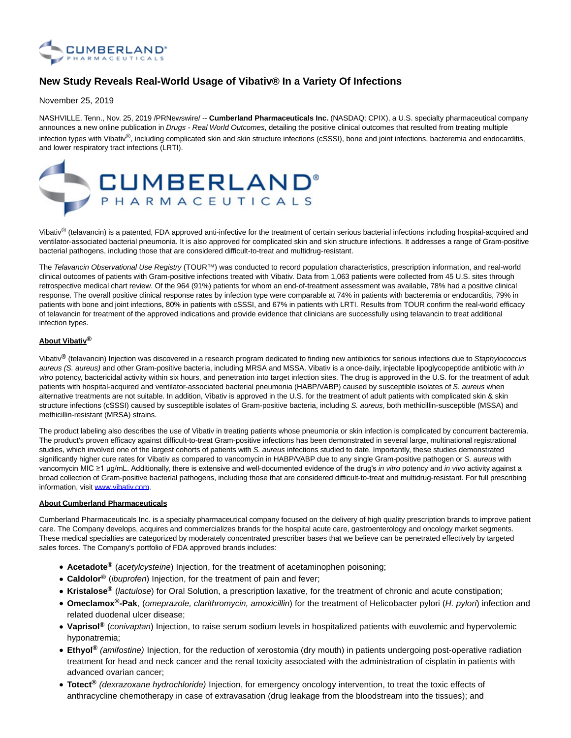

## **New Study Reveals Real-World Usage of Vibativ® In a Variety Of Infections**

November 25, 2019

NASHVILLE, Tenn., Nov. 25, 2019 /PRNewswire/ -- **Cumberland Pharmaceuticals Inc.** (NASDAQ: CPIX), a U.S. specialty pharmaceutical company announces a new online publication in Drugs - Real World Outcomes, detailing the positive clinical outcomes that resulted from treating multiple infection types with Vibativ®, including complicated skin and skin structure infections (cSSSI), bone and joint infections, bacteremia and endocarditis, and lower respiratory tract infections (LRTI).



Vibativ<sup>®</sup> (telavancin) is a patented, FDA approved anti-infective for the treatment of certain serious bacterial infections including hospital-acquired and ventilator-associated bacterial pneumonia. It is also approved for complicated skin and skin structure infections. It addresses a range of Gram-positive bacterial pathogens, including those that are considered difficult-to-treat and multidrug-resistant.

The Telavancin Observational Use Registry (TOUR™) was conducted to record population characteristics, prescription information, and real-world clinical outcomes of patients with Gram-positive infections treated with Vibativ. Data from 1,063 patients were collected from 45 U.S. sites through retrospective medical chart review. Of the 964 (91%) patients for whom an end-of-treatment assessment was available, 78% had a positive clinical response. The overall positive clinical response rates by infection type were comparable at 74% in patients with bacteremia or endocarditis, 79% in patients with bone and joint infections, 80% in patients with cSSSI, and 67% in patients with LRTI. Results from TOUR confirm the real-world efficacy of telavancin for treatment of the approved indications and provide evidence that clinicians are successfully using telavancin to treat additional infection types.

## **About Vibativ®**

Vibativ<sup>®</sup> (telavancin) Injection was discovered in a research program dedicated to finding new antibiotics for serious infections due to Staphylococcus aureus (S. aureus) and other Gram-positive bacteria, including MRSA and MSSA. Vibativ is a once-daily, injectable lipoglycopeptide antibiotic with in vitro potency, bactericidal activity within six hours, and penetration into target infection sites. The drug is approved in the U.S. for the treatment of adult patients with hospital-acquired and ventilator-associated bacterial pneumonia (HABP/VABP) caused by susceptible isolates of S. aureus when alternative treatments are not suitable. In addition, Vibativ is approved in the U.S. for the treatment of adult patients with complicated skin & skin structure infections (cSSSI) caused by susceptible isolates of Gram-positive bacteria, including S. aureus, both methicillin-susceptible (MSSA) and methicillin-resistant (MRSA) strains.

The product labeling also describes the use of Vibativ in treating patients whose pneumonia or skin infection is complicated by concurrent bacteremia. The product's proven efficacy against difficult-to-treat Gram-positive infections has been demonstrated in several large, multinational registrational studies, which involved one of the largest cohorts of patients with S. aureus infections studied to date. Importantly, these studies demonstrated significantly higher cure rates for Vibativ as compared to vancomycin in HABP/VABP due to any single Gram-positive pathogen or S. aureus with vancomycin MIC ≥1 µg/mL. Additionally, there is extensive and well-documented evidence of the drug's in vitro potency and in vivo activity against a broad collection of Gram-positive bacterial pathogens, including those that are considered difficult-to-treat and multidrug-resistant. For full prescribing information, visit [www.vibativ.com.](https://c212.net/c/link/?t=0&l=en&o=2652300-1&h=1040891291&u=http%3A%2F%2Fwww.vibativ.com%2F&a=www.vibativ.com)

## **About Cumberland Pharmaceuticals**

Cumberland Pharmaceuticals Inc. is a specialty pharmaceutical company focused on the delivery of high quality prescription brands to improve patient care. The Company develops, acquires and commercializes brands for the hospital acute care, gastroenterology and oncology market segments. These medical specialties are categorized by moderately concentrated prescriber bases that we believe can be penetrated effectively by targeted sales forces. The Company's portfolio of FDA approved brands includes:

- **Acetadote®** (acetylcysteine) Injection, for the treatment of acetaminophen poisoning;
- **Caldolor®** (ibuprofen) Injection, for the treatment of pain and fever;
- **Kristalose®** (lactulose) for Oral Solution, a prescription laxative, for the treatment of chronic and acute constipation;
- **Omeclamox®-Pak**, (omeprazole, clarithromycin, amoxicillin) for the treatment of Helicobacter pylori (H. pylori) infection and related duodenal ulcer disease;
- **Vaprisol®** (conivaptan) Injection, to raise serum sodium levels in hospitalized patients with euvolemic and hypervolemic hyponatremia;
- **Ethyol®** (amifostine) Injection, for the reduction of xerostomia (dry mouth) in patients undergoing post-operative radiation treatment for head and neck cancer and the renal toxicity associated with the administration of cisplatin in patients with advanced ovarian cancer;
- **Totect®** (dexrazoxane hydrochloride) Injection, for emergency oncology intervention, to treat the toxic effects of anthracycline chemotherapy in case of extravasation (drug leakage from the bloodstream into the tissues); and